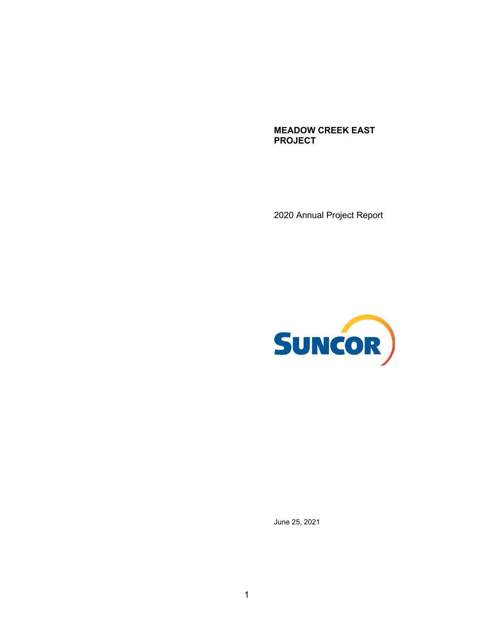**MEADOW CREEK EAST PROJECT** 

2020 Annual Project Report



June 25, 2021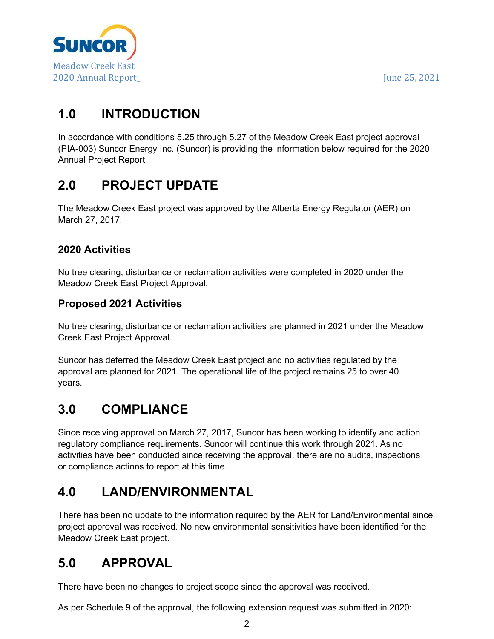

# **1.0 INTRODUCTION**

 In accordance with conditions 5.25 through 5.27 of the Meadow Creek East project approval (PIA-003) Suncor Energy Inc. (Suncor) is providing the information below required for the 2020 Annual Project Report.

# **2.0 PROJECT UPDATE**

 The Meadow Creek East project was approved by the Alberta Energy Regulator (AER) on March 27, 2017.

#### **2020 Activities**

 No tree clearing, disturbance or reclamation activities were completed in 2020 under the Meadow Creek East Project Approval.

#### **Proposed 2021 Activities**

 No tree clearing, disturbance or reclamation activities are planned in 2021 under the Meadow Creek East Project Approval.

 Suncor has deferred the Meadow Creek East project and no activities regulated by the approval are planned for 2021. The operational life of the project remains 25 to over 40 years.

## **3.0 COMPLIANCE**

 Since receiving approval on March 27, 2017, Suncor has been working to identify and action regulatory compliance requirements. Suncor will continue this work through 2021. As no activities have been conducted since receiving the approval, there are no audits, inspections or compliance actions to report at this time.

## **4.0 LAND/ENVIRONMENTAL**

 There has been no update to the information required by the AER for Land/Environmental since project approval was received. No new environmental sensitivities have been identified for the Meadow Creek East project.

## **5.0 APPROVAL**

There have been no changes to project scope since the approval was received.

As per Schedule 9 of the approval, the following extension request was submitted in 2020: